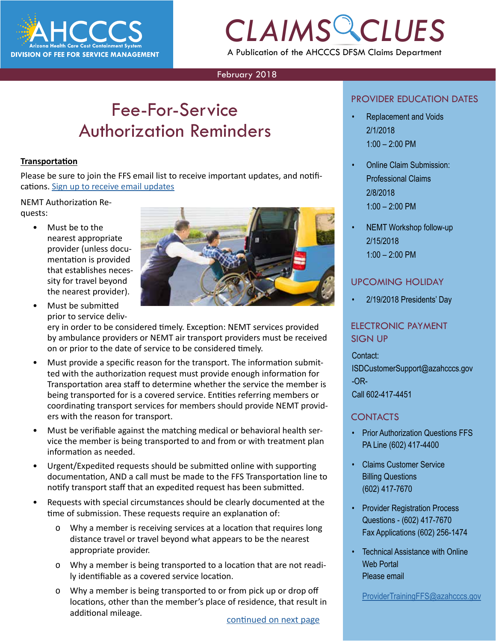

## *CLAIMS CLUES* A Publication of the AHCCCS DFSM Claims Department

### February 2018

## Fee-For-Service Authorization Reminders

#### **Transportation**

Please be sure to join the FFS email list to receive important updates, and notifi-cations. [Sign up to receive email updates](https://azahcccs.gov/PlansProviders/RatesAndBilling/FFS/ffs_emaillist.html)

#### NEMT Authorization Requests:

• Must be to the nearest appropriate provider (unless documentation is provided that establishes necessity for travel beyond the nearest provider).



• Must be submitted prior to service deliv-

ery in order to be considered timely. Exception: NEMT services provided by ambulance providers or NEMT air transport providers must be received on or prior to the date of service to be considered timely.

- Must provide a specific reason for the transport. The information submitted with the authorization request must provide enough information for Transportation area staff to determine whether the service the member is being transported for is a covered service. Entities referring members or coordinating transport services for members should provide NEMT providers with the reason for transport.
- Must be verifiable against the matching medical or behavioral health service the member is being transported to and from or with treatment plan information as needed.
- Urgent/Expedited requests should be submitted online with supporting documentation, AND a call must be made to the FFS Transportation line to notify transport staff that an expedited request has been submitted.
- Requests with special circumstances should be clearly documented at the time of submission. These requests require an explanation of:
	- o Why a member is receiving services at a location that requires long distance travel or travel beyond what appears to be the nearest appropriate provider.
	- o Why a member is being transported to a location that are not readily identifiable as a covered service location.
	- o Why a member is being transported to or from pick up or drop off locations, other than the member's place of residence, that result in additional mileage.

### PROVIDER EDUCATION DATES

- **CONDER EDUCATION DATES**<br> **CREDISCORTION DATES**<br>
2/1/2018 • Replacement and Voids 2/1/2018 1:00 – 2:00 PM
	- Online Claim Submission: Professional Claims 2/8/2018 1:00 – 2:00 PM
	- NEMT Workshop follow-up 2/15/2018 1:00 – 2:00 PM

### UPCOMING HOLIDAY

• 2/19/2018 Presidents' Day

### ELECTRONIC PAYMENT SIGN UP

Contact: ISDCustomerSupport@azahcccs.gov -OR-Call 602-417-4451

### CONTACTS

- Prior Authorization Questions FFS PA Line (602) 417-4400
- Claims Customer Service Billing Questions (602) 417-7670
- Provider Registration Process Questions - (602) 417-7670 Fax Applications (602) 256-1474
- Technical Assistance with Online Web Portal Please email

[ProviderTrainingFFS@azahcccs.gov](mailto:ProviderTrainingFFS%40azahcccs.gov%20?subject=)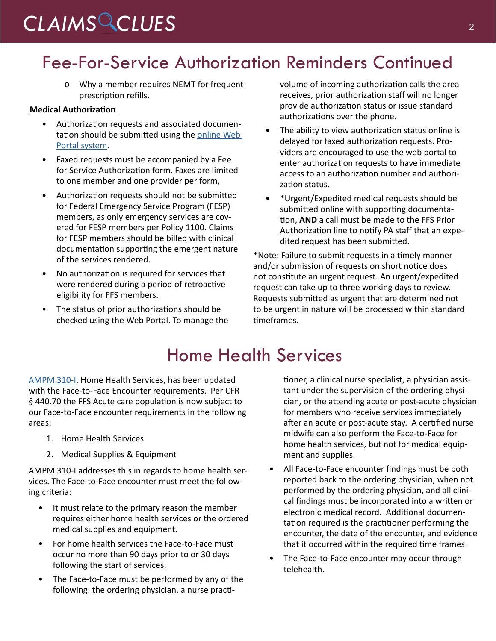# <span id="page-1-0"></span>*CLAIMS CLUES* <sup>2</sup>

# Fee-For-Service Authorization Reminders Continued

o Why a member requires NEMT for frequent prescription refills.

### **Medical Authorization**

- Authorization requests and associated documentation should be submitted using the [online Web](https://azweb.statemedicaid.us/Account/Login.aspx?ReturnUrl=%2f)  [Portal system](https://azweb.statemedicaid.us/Account/Login.aspx?ReturnUrl=%2f).
- Faxed requests must be accompanied by a Fee for Service Authorization form. Faxes are limited to one member and one provider per form,
- Authorization requests should not be submitted for Federal Emergency Service Program (FESP) members, as only emergency services are covered for FESP members per Policy 1100. Claims for FESP members should be billed with clinical documentation supporting the emergent nature of the services rendered.
- No authorization is required for services that were rendered during a period of retroactive eligibility for FFS members.
- The status of prior authorizations should be checked using the Web Portal. To manage the

volume of incoming authorization calls the area receives, prior authorization staff will no longer provide authorization status or issue standard authorizations over the phone.

- The ability to view authorization status online is delayed for faxed authorization requests. Providers are encouraged to use the web portal to enter authorization requests to have immediate access to an authorization number and authorization status.
- \*Urgent/Expedited medical requests should be submitted online with supporting documentation, **AND** a call must be made to the FFS Prior Authorization line to notify PA staff that an expedited request has been submitted.

\*Note: Failure to submit requests in a timely manner and/or submission of requests on short notice does not constitute an urgent request. An urgent/expedited request can take up to three working days to review. Requests submitted as urgent that are determined not to be urgent in nature will be processed within standard timeframes.

## Home Health Services

[AMPM 310-I](https://www.azahcccs.gov/shared/Downloads/MedicalPolicyManual/300/310I.pdf), Home Health Services, has been updated with the Face-to-Face Encounter requirements. Per CFR § 440.70 the FFS Acute care population is now subject to our Face-to-Face encounter requirements in the following areas:

- 1. Home Health Services
- 2. Medical Supplies & Equipment

AMPM 310-I addresses this in regards to home health services. The Face-to-Face encounter must meet the following criteria:

- It must relate to the primary reason the member requires either home health services or the ordered medical supplies and equipment.
- For home health services the Face-to-Face must occur no more than 90 days prior to or 30 days following the start of services.
- The Face-to-Face must be performed by any of the following: the ordering physician, a nurse practi-

tioner, a clinical nurse specialist, a physician assistant under the supervision of the ordering physician, or the attending acute or post-acute physician for members who receive services immediately after an acute or post-acute stay. A certified nurse midwife can also perform the Face-to-Face for home health services, but not for medical equipment and supplies.

- All Face-to-Face encounter findings must be both reported back to the ordering physician, when not performed by the ordering physician, and all clinical findings must be incorporated into a written or electronic medical record. Additional documentation required is the practitioner performing the encounter, the date of the encounter, and evidence that it occurred within the required time frames.
- The Face-to-Face encounter may occur through telehealth.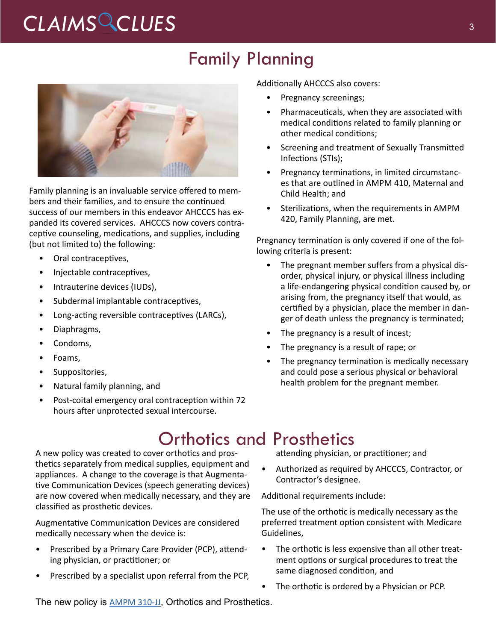# CLAIMS CLUES<sup>3</sup>

### Family Planning



Family planning is an invaluable service offered to members and their families, and to ensure the continued success of our members in this endeavor AHCCCS has expanded its covered services. AHCCCS now covers contraceptive counseling, medications, and supplies, including (but not limited to) the following:

- Oral contraceptives,
- Injectable contraceptives,
- Intrauterine devices (IUDs),
- Subdermal implantable contraceptives,
- Long-acting reversible contraceptives (LARCs),
- Diaphragms,
- Condoms,
- Foams,
- Suppositories,
- Natural family planning, and
- Post-coital emergency oral contraception within 72 hours after unprotected sexual intercourse.

Additionally AHCCCS also covers:

- Pregnancy screenings;
- Pharmaceuticals, when they are associated with medical conditions related to family planning or other medical conditions;
- Screening and treatment of Sexually Transmitted Infections (STIs);
- Pregnancy terminations, in limited circumstances that are outlined in AMPM 410, Maternal and Child Health; and
- Sterilizations, when the requirements in AMPM 420, Family Planning, are met.

Pregnancy termination is only covered if one of the following criteria is present:

- The pregnant member suffers from a physical disorder, physical injury, or physical illness including a life-endangering physical condition caused by, or arising from, the pregnancy itself that would, as certified by a physician, place the member in danger of death unless the pregnancy is terminated;
- The pregnancy is a result of incest;
- The pregnancy is a result of rape; or
- The pregnancy termination is medically necessary and could pose a serious physical or behavioral health problem for the pregnant member.

### Orthotics and Prosthetics

A new policy was created to cover orthotics and prosthetics separately from medical supplies, equipment and appliances. A change to the coverage is that Augmentative Communication Devices (speech generating devices) are now covered when medically necessary, and they are classified as prosthetic devices.

Augmentative Communication Devices are considered medically necessary when the device is:

- Prescribed by a Primary Care Provider (PCP), attending physician, or practitioner; or
- Prescribed by a specialist upon referral from the PCP,

attending physician, or practitioner; and

• Authorized as required by AHCCCS, Contractor, or Contractor's designee.

Additional requirements include:

The use of the orthotic is medically necessary as the preferred treatment option consistent with Medicare Guidelines,

- The orthotic is less expensive than all other treatment options or surgical procedures to treat the same diagnosed condition, and
- The orthotic is ordered by a Physician or PCP.

The new policy is [AMPM 310-JJ](https://www.azahcccs.gov/shared/Downloads/MedicalPolicyManual/300/310JJ.pdf), Orthotics and Prosthetics.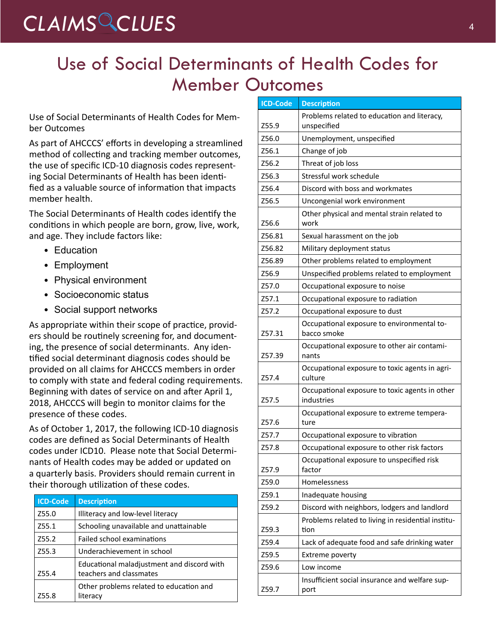# *CLAIMS CLUES* <sup>4</sup>

## Use of Social Determinants of Health Codes for Member Outcomes

Use of Social Determinants of Health Codes for Member Outcomes

As part of AHCCCS' efforts in developing a streamlined method of collecting and tracking member outcomes, the use of specific ICD-10 diagnosis codes representing Social Determinants of Health has been identified as a valuable source of information that impacts member health.

The Social Determinants of Health codes identify the conditions in which people are born, grow, live, work, and age. They include factors like:

- Education
- Employment
- Physical environment
- Socioeconomic status
- Social support networks

As appropriate within their scope of practice, providers should be routinely screening for, and documenting, the presence of social determinants. Any identified social determinant diagnosis codes should be provided on all claims for AHCCCS members in order to comply with state and federal coding requirements. Beginning with dates of service on and after April 1, 2018, AHCCCS will begin to monitor claims for the presence of these codes.

As of October 1, 2017, the following ICD-10 diagnosis codes are defined as Social Determinants of Health codes under ICD10. Please note that Social Determinants of Health codes may be added or updated on a quarterly basis. Providers should remain current in their thorough utilization of these codes.

| <b>ICD-Code</b> | <b>Description</b>                                                    |
|-----------------|-----------------------------------------------------------------------|
| Z55.0           | Illiteracy and low-level literacy                                     |
| Z55.1           | Schooling unavailable and unattainable                                |
| Z55.2           | Failed school examinations                                            |
| Z55.3           | Underachievement in school                                            |
| Z55.4           | Educational maladjustment and discord with<br>teachers and classmates |
| <b>755.8</b>    | Other problems related to education and<br>literacy                   |

| <b>ICD-Code</b> | <b>Description</b>                                           |  |  |
|-----------------|--------------------------------------------------------------|--|--|
|                 | Problems related to education and literacy,                  |  |  |
| Z55.9           | unspecified                                                  |  |  |
| Z56.0           | Unemployment, unspecified                                    |  |  |
| Z56.1           | Change of job                                                |  |  |
| Z56.2           | Threat of job loss                                           |  |  |
| Z56.3           | Stressful work schedule                                      |  |  |
| Z56.4           | Discord with boss and workmates                              |  |  |
| Z56.5           | Uncongenial work environment                                 |  |  |
| Z56.6           | Other physical and mental strain related to<br>work          |  |  |
| Z56.81          | Sexual harassment on the job                                 |  |  |
| Z56.82          | Military deployment status                                   |  |  |
| Z56.89          | Other problems related to employment                         |  |  |
| Z56.9           | Unspecified problems related to employment                   |  |  |
| Z57.0           | Occupational exposure to noise                               |  |  |
| Z57.1           | Occupational exposure to radiation                           |  |  |
| Z57.2           | Occupational exposure to dust                                |  |  |
| Z57.31          | Occupational exposure to environmental to-<br>bacco smoke    |  |  |
| Z57.39          | Occupational exposure to other air contami-<br>nants         |  |  |
| Z57.4           | Occupational exposure to toxic agents in agri-<br>culture    |  |  |
| Z57.5           | Occupational exposure to toxic agents in other<br>industries |  |  |
| Z57.6           | Occupational exposure to extreme tempera-<br>ture            |  |  |
| Z57.7           | Occupational exposure to vibration                           |  |  |
| Z57.8           | Occupational exposure to other risk factors                  |  |  |
| Z57.9           | Occupational exposure to unspecified risk<br>factor          |  |  |
| Z59.0           | Homelessness                                                 |  |  |
| Z59.1           | Inadequate housing                                           |  |  |
| Z59.2           | Discord with neighbors, lodgers and landlord                 |  |  |
| Z59.3           | Problems related to living in residential institu-<br>tion   |  |  |
| Z59.4           | Lack of adequate food and safe drinking water                |  |  |
| Z59.5           | Extreme poverty                                              |  |  |
| Z59.6           | Low income                                                   |  |  |
| Z59.7           | Insufficient social insurance and welfare sup-<br>port       |  |  |